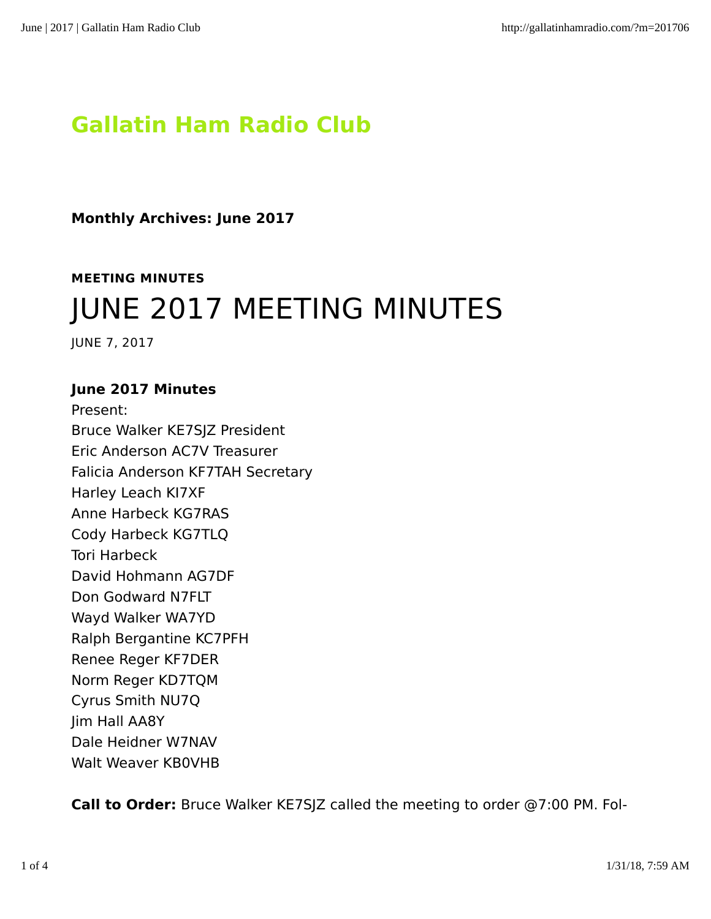# **Gallatin Ham Radio Club**

**Monthly Archives: June 2017**

**MEETING MINUTES** JUNE 2017 MEETING MINUTES

JUNE 7, 2017

## **June 2017 Minutes**

Present: Bruce Walker KE7SJZ President Eric Anderson AC7V Treasurer Falicia Anderson KF7TAH Secretary Harley Leach KI7XF Anne Harbeck KG7RAS Cody Harbeck KG7TLQ Tori Harbeck David Hohmann AG7DF Don Godward N7FLT Wayd Walker WA7YD Ralph Bergantine KC7PFH Renee Reger KF7DER Norm Reger KD7TQM Cyrus Smith NU7Q Jim Hall AA8Y Dale Heidner W7NAV Walt Weaver KB0VHB

**Call to Order:** Bruce Walker KE7SJZ called the meeting to order @7:00 PM. Fol‐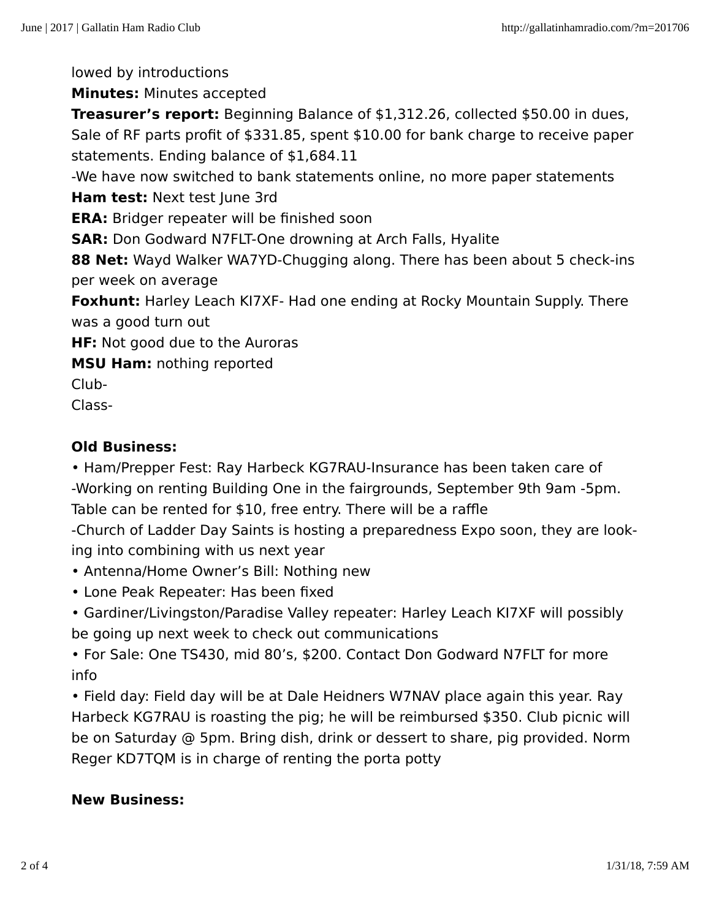lowed by introductions

**Minutes:** Minutes accepted

**Treasurer's report:** Beginning Balance of \$1,312.26, collected \$50.00 in dues, Sale of RF parts profit of \$331.85, spent \$10.00 for bank charge to receive paper statements. Ending balance of \$1,684.11

-We have now switched to bank statements online, no more paper statements

**Ham test:** Next test June 3rd

**ERA:** Bridger repeater will be finished soon

**SAR:** Don Godward N7FLT-One drowning at Arch Falls, Hyalite

**88 Net:** Wayd Walker WA7YD-Chugging along. There has been about 5 check-ins per week on average

**Foxhunt:** Harley Leach KI7XF- Had one ending at Rocky Mountain Supply. There was a good turn out

**HF:** Not good due to the Auroras

**MSU Ham:** nothing reported

Club-

Class-

## **Old Business:**

• Ham/Prepper Fest: Ray Harbeck KG7RAU-Insurance has been taken care of -Working on renting Building One in the fairgrounds, September 9th 9am -5pm. Table can be rented for \$10, free entry. There will be a raffle

-Church of Ladder Day Saints is hosting a preparedness Expo soon, they are look‐ ing into combining with us next year

- Antenna/Home Owner's Bill: Nothing new
- Lone Peak Repeater: Has been fixed
- Gardiner/Livingston/Paradise Valley repeater: Harley Leach KI7XF will possibly be going up next week to check out communications

• For Sale: One TS430, mid 80's, \$200. Contact Don Godward N7FLT for more info

• Field day: Field day will be at Dale Heidners W7NAV place again this year. Ray Harbeck KG7RAU is roasting the pig; he will be reimbursed \$350. Club picnic will be on Saturday @ 5pm. Bring dish, drink or dessert to share, pig provided. Norm Reger KD7TQM is in charge of renting the porta potty

#### **New Business:**